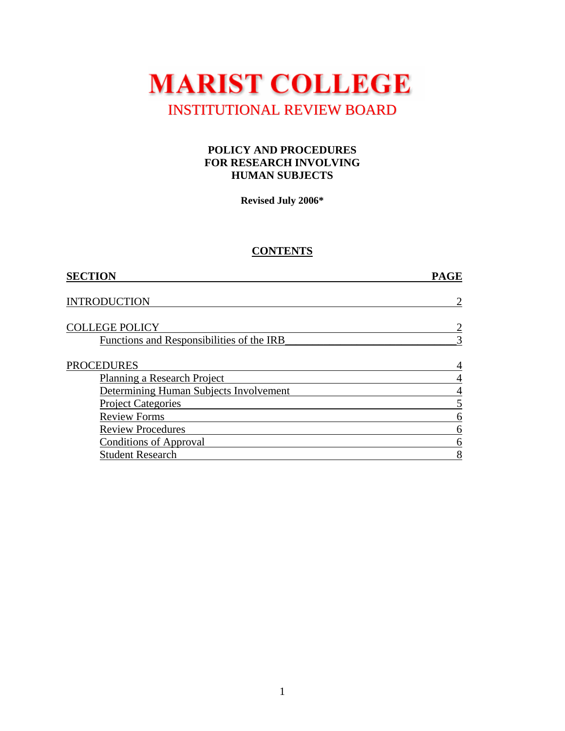

#### **POLICY AND PROCEDURES FOR RESEARCH INVOLVING HUMAN SUBJECTS**

**Revised July 2006\*** 

# **CONTENTS**

| <b>PAGE</b> |
|-------------|
|             |
| 2           |
|             |
|             |
| 3           |
|             |
| 4           |
| 4           |
| 4           |
|             |
| 6           |
| 6           |
| 6           |
| 8           |
|             |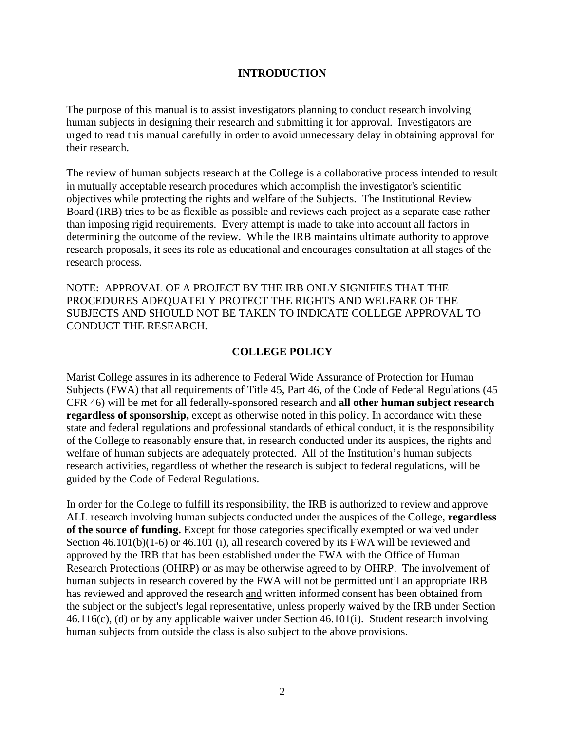### **INTRODUCTION**

The purpose of this manual is to assist investigators planning to conduct research involving human subjects in designing their research and submitting it for approval. Investigators are urged to read this manual carefully in order to avoid unnecessary delay in obtaining approval for their research.

The review of human subjects research at the College is a collaborative process intended to result in mutually acceptable research procedures which accomplish the investigator's scientific objectives while protecting the rights and welfare of the Subjects. The Institutional Review Board (IRB) tries to be as flexible as possible and reviews each project as a separate case rather than imposing rigid requirements. Every attempt is made to take into account all factors in determining the outcome of the review. While the IRB maintains ultimate authority to approve research proposals, it sees its role as educational and encourages consultation at all stages of the research process.

NOTE: APPROVAL OF A PROJECT BY THE IRB ONLY SIGNIFIES THAT THE PROCEDURES ADEQUATELY PROTECT THE RIGHTS AND WELFARE OF THE SUBJECTS AND SHOULD NOT BE TAKEN TO INDICATE COLLEGE APPROVAL TO CONDUCT THE RESEARCH.

### **COLLEGE POLICY**

Marist College assures in its adherence to Federal Wide Assurance of Protection for Human Subjects (FWA) that all requirements of Title 45, Part 46, of the Code of Federal Regulations (45 CFR 46) will be met for all federally-sponsored research and **all other human subject research regardless of sponsorship,** except as otherwise noted in this policy. In accordance with these state and federal regulations and professional standards of ethical conduct, it is the responsibility of the College to reasonably ensure that, in research conducted under its auspices, the rights and welfare of human subjects are adequately protected. All of the Institution's human subjects research activities, regardless of whether the research is subject to federal regulations, will be guided by the Code of Federal Regulations.

In order for the College to fulfill its responsibility, the IRB is authorized to review and approve ALL research involving human subjects conducted under the auspices of the College, **regardless of the source of funding.** Except for those categories specifically exempted or waived under Section 46.101(b)(1-6) or 46.101 (i), all research covered by its FWA will be reviewed and approved by the IRB that has been established under the FWA with the Office of Human Research Protections (OHRP) or as may be otherwise agreed to by OHRP. The involvement of human subjects in research covered by the FWA will not be permitted until an appropriate IRB has reviewed and approved the research and written informed consent has been obtained from the subject or the subject's legal representative, unless properly waived by the IRB under Section 46.116(c), (d) or by any applicable waiver under Section 46.101(i). Student research involving human subjects from outside the class is also subject to the above provisions.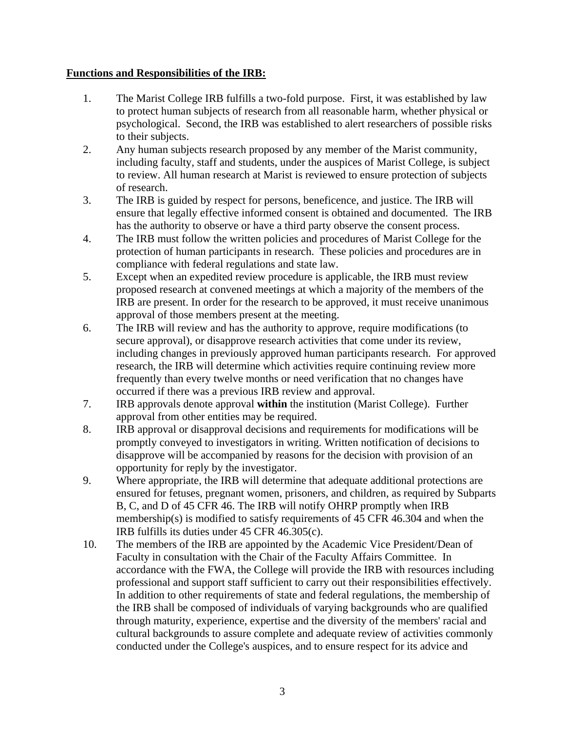## **Functions and Responsibilities of the IRB:**

- 1. The Marist College IRB fulfills a two-fold purpose. First, it was established by law to protect human subjects of research from all reasonable harm, whether physical or psychological. Second, the IRB was established to alert researchers of possible risks to their subjects.
- 2. Any human subjects research proposed by any member of the Marist community, including faculty, staff and students, under the auspices of Marist College, is subject to review. All human research at Marist is reviewed to ensure protection of subjects of research.
- 3. The IRB is guided by respect for persons, beneficence, and justice. The IRB will ensure that legally effective informed consent is obtained and documented. The IRB has the authority to observe or have a third party observe the consent process.
- 4. The IRB must follow the written policies and procedures of Marist College for the protection of human participants in research. These policies and procedures are in compliance with federal regulations and state law.
- 5. Except when an expedited review procedure is applicable, the IRB must review proposed research at convened meetings at which a majority of the members of the IRB are present. In order for the research to be approved, it must receive unanimous approval of those members present at the meeting.
- 6. The IRB will review and has the authority to approve, require modifications (to secure approval), or disapprove research activities that come under its review, including changes in previously approved human participants research. For approved research, the IRB will determine which activities require continuing review more frequently than every twelve months or need verification that no changes have occurred if there was a previous IRB review and approval.
- 7. IRB approvals denote approval **within** the institution (Marist College). Further approval from other entities may be required.
- 8. IRB approval or disapproval decisions and requirements for modifications will be promptly conveyed to investigators in writing. Written notification of decisions to disapprove will be accompanied by reasons for the decision with provision of an opportunity for reply by the investigator.
- 9. Where appropriate, the IRB will determine that adequate additional protections are ensured for fetuses, pregnant women, prisoners, and children, as required by Subparts B, C, and D of 45 CFR 46. The IRB will notify OHRP promptly when IRB membership(s) is modified to satisfy requirements of 45 CFR 46.304 and when the IRB fulfills its duties under 45 CFR 46.305(c).
- 10. The members of the IRB are appointed by the Academic Vice President/Dean of Faculty in consultation with the Chair of the Faculty Affairs Committee. In accordance with the FWA, the College will provide the IRB with resources including professional and support staff sufficient to carry out their responsibilities effectively. In addition to other requirements of state and federal regulations, the membership of the IRB shall be composed of individuals of varying backgrounds who are qualified through maturity, experience, expertise and the diversity of the members' racial and cultural backgrounds to assure complete and adequate review of activities commonly conducted under the College's auspices, and to ensure respect for its advice and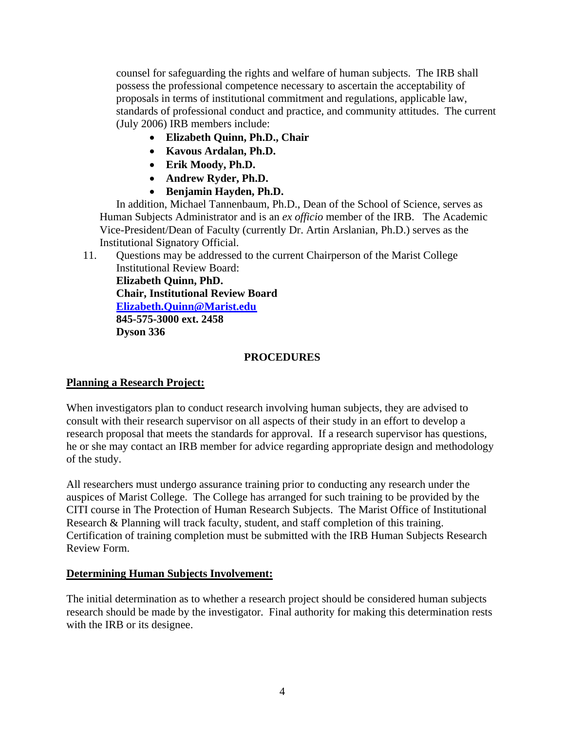counsel for safeguarding the rights and welfare of human subjects. The IRB shall possess the professional competence necessary to ascertain the acceptability of proposals in terms of institutional commitment and regulations, applicable law, standards of professional conduct and practice, and community attitudes. The current (July 2006) IRB members include:

- **Elizabeth Quinn, Ph.D., Chair**
- **Kavous Ardalan, Ph.D.**
- **Erik Moody, Ph.D.**
- **Andrew Ryder, Ph.D.**
- **Benjamin Hayden, Ph.D.**

 In addition, Michael Tannenbaum, Ph.D., Dean of the School of Science, serves as Human Subjects Administrator and is an *ex officio* member of the IRB. The Academic Vice-President/Dean of Faculty (currently Dr. Artin Arslanian, Ph.D.) serves as the Institutional Signatory Official.

11. Questions may be addressed to the current Chairperson of the Marist College Institutional Review Board:

**Elizabeth Quinn, PhD. Chair, Institutional Review Board Elizabeth.Quinn[@Marist.edu](mailto:elizabeth.quinn@marist.edu)  845-575-3000 ext. 2458 Dyson 336** 

### **PROCEDURES**

## **Planning a Research Project:**

When investigators plan to conduct research involving human subjects, they are advised to consult with their research supervisor on all aspects of their study in an effort to develop a research proposal that meets the standards for approval. If a research supervisor has questions, he or she may contact an IRB member for advice regarding appropriate design and methodology of the study.

All researchers must undergo assurance training prior to conducting any research under the auspices of Marist College. The College has arranged for such training to be provided by the CITI course in The Protection of Human Research Subjects. The Marist Office of Institutional Research & Planning will track faculty, student, and staff completion of this training. Certification of training completion must be submitted with the IRB Human Subjects Research Review Form.

#### **Determining Human Subjects Involvement:**

The initial determination as to whether a research project should be considered human subjects research should be made by the investigator. Final authority for making this determination rests with the IRB or its designee.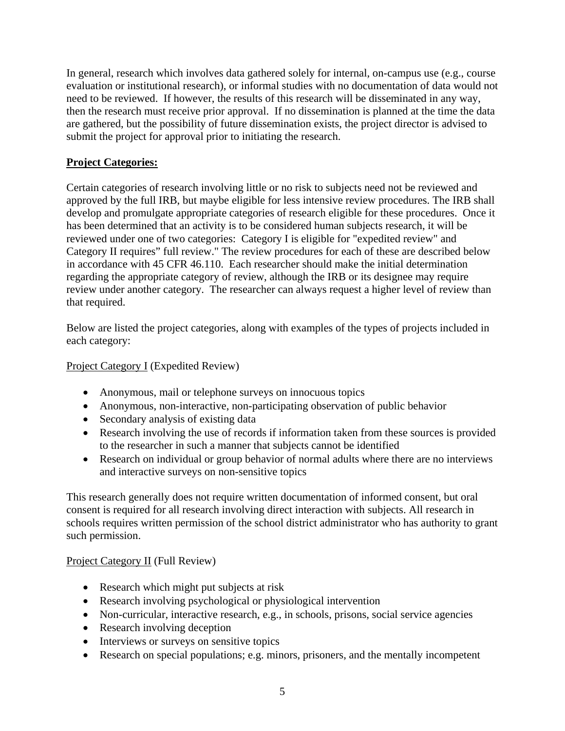In general, research which involves data gathered solely for internal, on-campus use (e.g., course evaluation or institutional research), or informal studies with no documentation of data would not need to be reviewed. If however, the results of this research will be disseminated in any way, then the research must receive prior approval. If no dissemination is planned at the time the data are gathered, but the possibility of future dissemination exists, the project director is advised to submit the project for approval prior to initiating the research.

# **Project Categories:**

Certain categories of research involving little or no risk to subjects need not be reviewed and approved by the full IRB, but maybe eligible for less intensive review procedures. The IRB shall develop and promulgate appropriate categories of research eligible for these procedures. Once it has been determined that an activity is to be considered human subjects research, it will be reviewed under one of two categories: Category I is eligible for "expedited review" and Category II requires" full review." The review procedures for each of these are described below in accordance with 45 CFR 46.110. Each researcher should make the initial determination regarding the appropriate category of review, although the IRB or its designee may require review under another category. The researcher can always request a higher level of review than that required.

Below are listed the project categories, along with examples of the types of projects included in each category:

# Project Category I (Expedited Review)

- Anonymous, mail or telephone surveys on innocuous topics
- Anonymous, non-interactive, non-participating observation of public behavior
- Secondary analysis of existing data
- Research involving the use of records if information taken from these sources is provided to the researcher in such a manner that subjects cannot be identified
- Research on individual or group behavior of normal adults where there are no interviews and interactive surveys on non-sensitive topics

This research generally does not require written documentation of informed consent, but oral consent is required for all research involving direct interaction with subjects. All research in schools requires written permission of the school district administrator who has authority to grant such permission.

## Project Category II (Full Review)

- Research which might put subjects at risk
- Research involving psychological or physiological intervention
- Non-curricular, interactive research, e.g., in schools, prisons, social service agencies
- Research involving deception
- Interviews or surveys on sensitive topics
- Research on special populations; e.g. minors, prisoners, and the mentally incompetent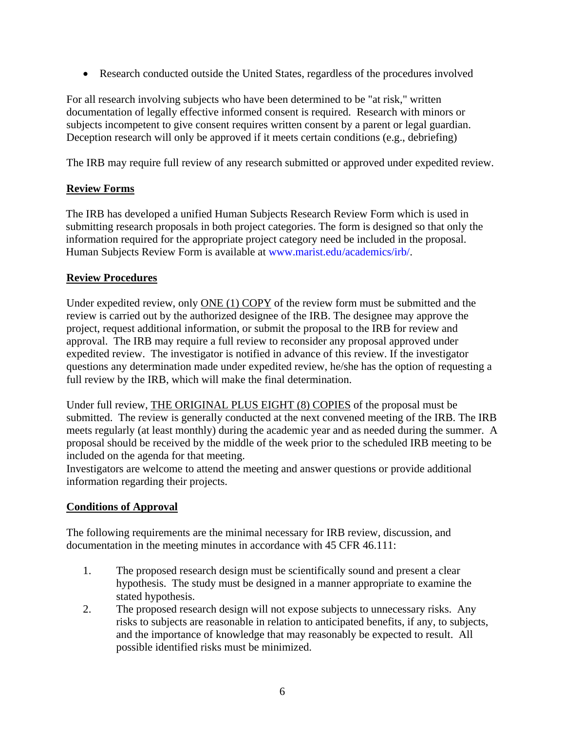• Research conducted outside the United States, regardless of the procedures involved

For all research involving subjects who have been determined to be "at risk," written documentation of legally effective informed consent is required. Research with minors or subjects incompetent to give consent requires written consent by a parent or legal guardian. Deception research will only be approved if it meets certain conditions (e.g., debriefing)

The IRB may require full review of any research submitted or approved under expedited review.

## **Review Forms**

The IRB has developed a unified Human Subjects Research Review Form which is used in submitting research proposals in both project categories. The form is designed so that only the information required for the appropriate project category need be included in the proposal. Human Subjects Review Form is available at [www.marist.edu/academics/irb/.](http://www.marist.edu/academics/irb/)

## **Review Procedures**

Under expedited review, only ONE (1) COPY of the review form must be submitted and the review is carried out by the authorized designee of the IRB. The designee may approve the project, request additional information, or submit the proposal to the IRB for review and approval. The IRB may require a full review to reconsider any proposal approved under expedited review. The investigator is notified in advance of this review. If the investigator questions any determination made under expedited review, he/she has the option of requesting a full review by the IRB, which will make the final determination.

Under full review, THE ORIGINAL PLUS EIGHT (8) COPIES of the proposal must be submitted. The review is generally conducted at the next convened meeting of the IRB. The IRB meets regularly (at least monthly) during the academic year and as needed during the summer. A proposal should be received by the middle of the week prior to the scheduled IRB meeting to be included on the agenda for that meeting.

Investigators are welcome to attend the meeting and answer questions or provide additional information regarding their projects.

# **Conditions of Approval**

The following requirements are the minimal necessary for IRB review, discussion, and documentation in the meeting minutes in accordance with 45 CFR 46.111:

- 1. The proposed research design must be scientifically sound and present a clear hypothesis. The study must be designed in a manner appropriate to examine the stated hypothesis.
- 2. The proposed research design will not expose subjects to unnecessary risks. Any risks to subjects are reasonable in relation to anticipated benefits, if any, to subjects, and the importance of knowledge that may reasonably be expected to result. All possible identified risks must be minimized.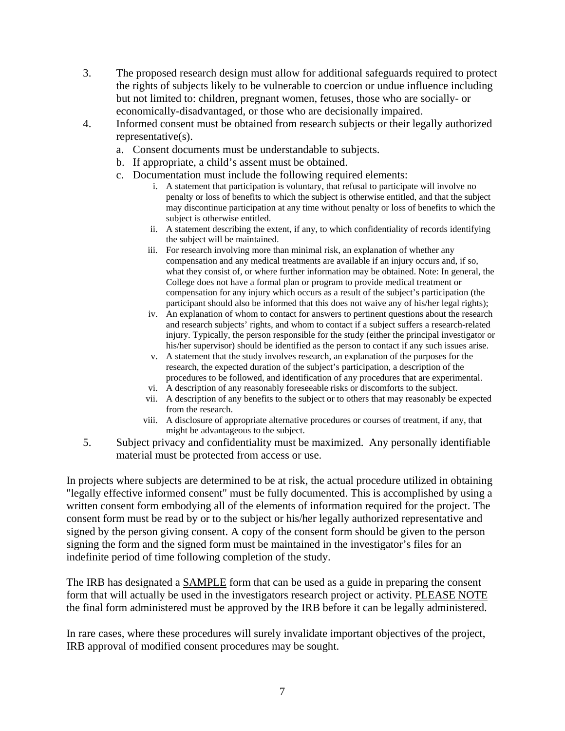- 3. The proposed research design must allow for additional safeguards required to protect the rights of subjects likely to be vulnerable to coercion or undue influence including but not limited to: children, pregnant women, fetuses, those who are socially- or economically-disadvantaged, or those who are decisionally impaired.
- 4. Informed consent must be obtained from research subjects or their legally authorized representative(s).
	- a. Consent documents must be understandable to subjects.
	- b. If appropriate, a child's assent must be obtained.
	- c. Documentation must include the following required elements:
		- i. A statement that participation is voluntary, that refusal to participate will involve no penalty or loss of benefits to which the subject is otherwise entitled, and that the subject may discontinue participation at any time without penalty or loss of benefits to which the subject is otherwise entitled.
		- ii. A statement describing the extent, if any, to which confidentiality of records identifying the subject will be maintained.
		- iii. For research involving more than minimal risk, an explanation of whether any compensation and any medical treatments are available if an injury occurs and, if so, what they consist of, or where further information may be obtained. Note: In general, the College does not have a formal plan or program to provide medical treatment or compensation for any injury which occurs as a result of the subject's participation (the participant should also be informed that this does not waive any of his/her legal rights);
		- iv. An explanation of whom to contact for answers to pertinent questions about the research and research subjects' rights, and whom to contact if a subject suffers a research-related injury. Typically, the person responsible for the study (either the principal investigator or his/her supervisor) should be identified as the person to contact if any such issues arise.
		- v. A statement that the study involves research, an explanation of the purposes for the research, the expected duration of the subject's participation, a description of the procedures to be followed, and identification of any procedures that are experimental.
		- vi. A description of any reasonably foreseeable risks or discomforts to the subject.
		- vii. A description of any benefits to the subject or to others that may reasonably be expected from the research.
		- viii. A disclosure of appropriate alternative procedures or courses of treatment, if any, that might be advantageous to the subject.
- 5. Subject privacy and confidentiality must be maximized. Any personally identifiable material must be protected from access or use.

In projects where subjects are determined to be at risk, the actual procedure utilized in obtaining "legally effective informed consent" must be fully documented. This is accomplished by using a written consent form embodying all of the elements of information required for the project. The consent form must be read by or to the subject or his/her legally authorized representative and signed by the person giving consent. A copy of the consent form should be given to the person signing the form and the signed form must be maintained in the investigator's files for an indefinite period of time following completion of the study.

The IRB has designated a **SAMPLE** form that can be used as a guide in preparing the consent form that will actually be used in the investigators research project or activity. PLEASE NOTE the final form administered must be approved by the IRB before it can be legally administered.

In rare cases, where these procedures will surely invalidate important objectives of the project, IRB approval of modified consent procedures may be sought.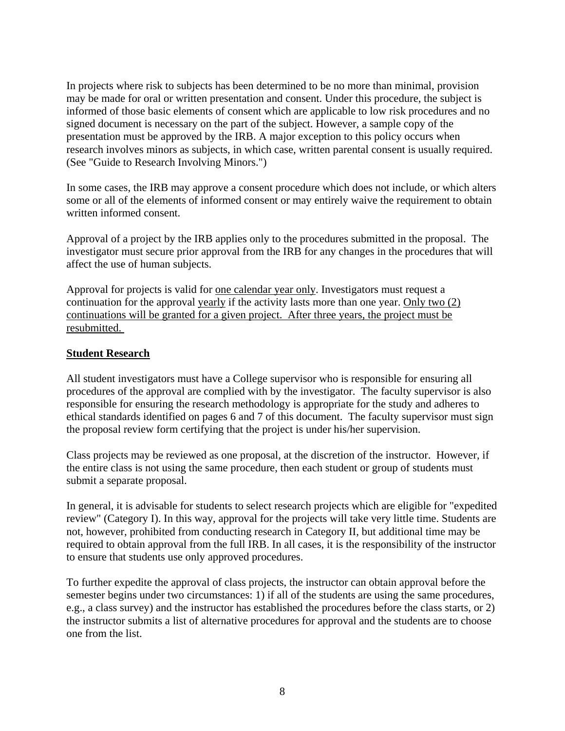In projects where risk to subjects has been determined to be no more than minimal, provision may be made for oral or written presentation and consent. Under this procedure, the subject is informed of those basic elements of consent which are applicable to low risk procedures and no signed document is necessary on the part of the subject. However, a sample copy of the presentation must be approved by the IRB. A major exception to this policy occurs when research involves minors as subjects, in which case, written parental consent is usually required. (See "Guide to Research Involving Minors.")

In some cases, the IRB may approve a consent procedure which does not include, or which alters some or all of the elements of informed consent or may entirely waive the requirement to obtain written informed consent.

Approval of a project by the IRB applies only to the procedures submitted in the proposal. The investigator must secure prior approval from the IRB for any changes in the procedures that will affect the use of human subjects.

Approval for projects is valid for one calendar year only. Investigators must request a continuation for the approval yearly if the activity lasts more than one year. Only two (2) continuations will be granted for a given project. After three years, the project must be resubmitted.

### **Student Research**

All student investigators must have a College supervisor who is responsible for ensuring all procedures of the approval are complied with by the investigator. The faculty supervisor is also responsible for ensuring the research methodology is appropriate for the study and adheres to ethical standards identified on pages 6 and 7 of this document. The faculty supervisor must sign the proposal review form certifying that the project is under his/her supervision.

Class projects may be reviewed as one proposal, at the discretion of the instructor. However, if the entire class is not using the same procedure, then each student or group of students must submit a separate proposal.

In general, it is advisable for students to select research projects which are eligible for "expedited review" (Category I). In this way, approval for the projects will take very little time. Students are not, however, prohibited from conducting research in Category II, but additional time may be required to obtain approval from the full IRB. In all cases, it is the responsibility of the instructor to ensure that students use only approved procedures.

To further expedite the approval of class projects, the instructor can obtain approval before the semester begins under two circumstances: 1) if all of the students are using the same procedures, e.g., a class survey) and the instructor has established the procedures before the class starts, or 2) the instructor submits a list of alternative procedures for approval and the students are to choose one from the list.